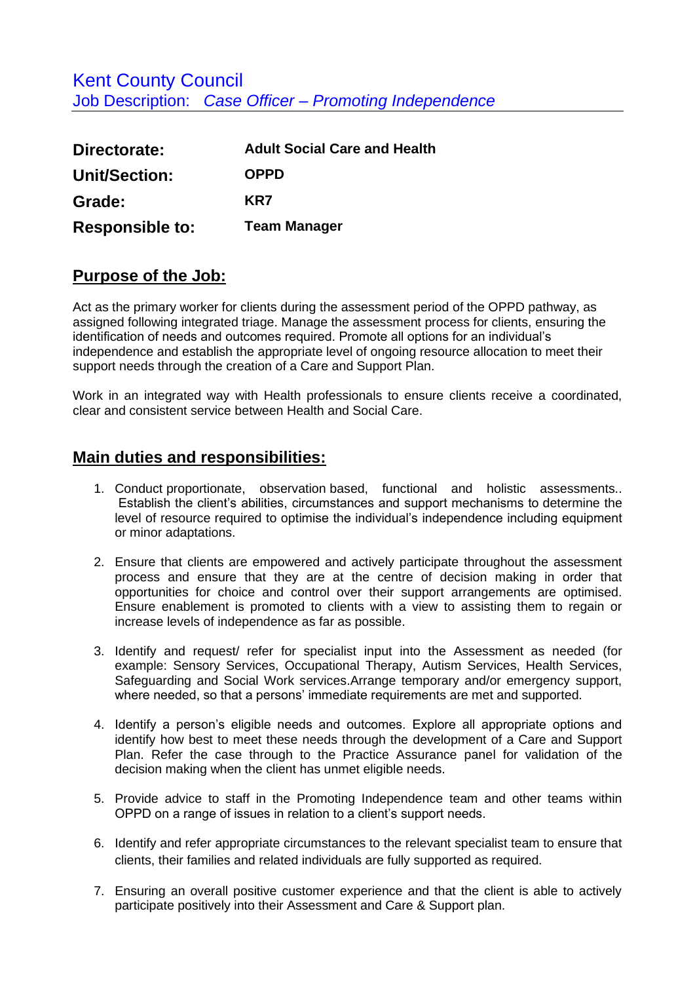| Directorate:           | <b>Adult Social Care and Health</b> |
|------------------------|-------------------------------------|
| <b>Unit/Section:</b>   | <b>OPPD</b>                         |
| Grade:                 | KR7                                 |
| <b>Responsible to:</b> | <b>Team Manager</b>                 |

## **Purpose of the Job:**

Act as the primary worker for clients during the assessment period of the OPPD pathway, as assigned following integrated triage. Manage the assessment process for clients, ensuring the identification of needs and outcomes required. Promote all options for an individual's independence and establish the appropriate level of ongoing resource allocation to meet their support needs through the creation of a Care and Support Plan.

Work in an integrated way with Health professionals to ensure clients receive a coordinated, clear and consistent service between Health and Social Care.

## **Main duties and responsibilities:**

- 1. Conduct proportionate, observation based, functional and holistic assessments.. Establish the client's abilities, circumstances and support mechanisms to determine the level of resource required to optimise the individual's independence including equipment or minor adaptations.
- 2. Ensure that clients are empowered and actively participate throughout the assessment process and ensure that they are at the centre of decision making in order that opportunities for choice and control over their support arrangements are optimised. Ensure enablement is promoted to clients with a view to assisting them to regain or increase levels of independence as far as possible.
- 3. Identify and request/ refer for specialist input into the Assessment as needed (for example: Sensory Services, Occupational Therapy, Autism Services, Health Services, Safeguarding and Social Work services.Arrange temporary and/or emergency support, where needed, so that a persons' immediate requirements are met and supported.
- 4. Identify a person's eligible needs and outcomes. Explore all appropriate options and identify how best to meet these needs through the development of a Care and Support Plan. Refer the case through to the Practice Assurance panel for validation of the decision making when the client has unmet eligible needs.
- 5. Provide advice to staff in the Promoting Independence team and other teams within OPPD on a range of issues in relation to a client's support needs.
- 6. Identify and refer appropriate circumstances to the relevant specialist team to ensure that clients, their families and related individuals are fully supported as required.
- 7. Ensuring an overall positive customer experience and that the client is able to actively participate positively into their Assessment and Care & Support plan.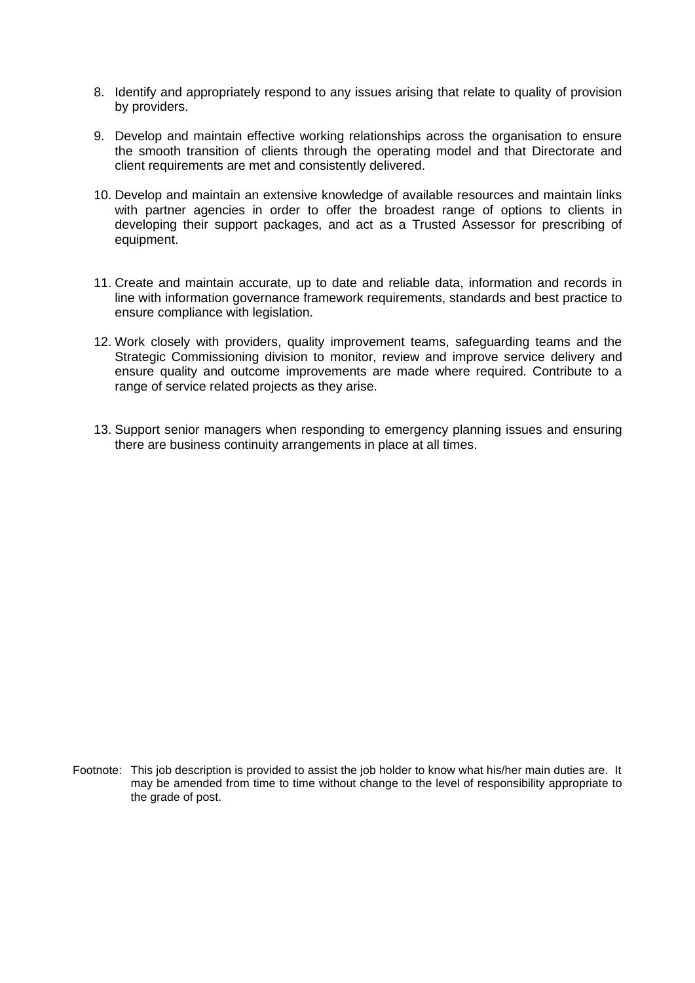- 8. Identify and appropriately respond to any issues arising that relate to quality of provision by providers.
- 9. Develop and maintain effective working relationships across the organisation to ensure the smooth transition of clients through the operating model and that Directorate and client requirements are met and consistently delivered.
- 10. Develop and maintain an extensive knowledge of available resources and maintain links with partner agencies in order to offer the broadest range of options to clients in developing their support packages, and act as a Trusted Assessor for prescribing of equipment.
- 11. Create and maintain accurate, up to date and reliable data, information and records in line with information governance framework requirements, standards and best practice to ensure compliance with legislation.
- 12. Work closely with providers, quality improvement teams, safeguarding teams and the Strategic Commissioning division to monitor, review and improve service delivery and ensure quality and outcome improvements are made where required. Contribute to a range of service related projects as they arise.
- 13. Support senior managers when responding to emergency planning issues and ensuring there are business continuity arrangements in place at all times.

Footnote: This job description is provided to assist the job holder to know what his/her main duties are. It may be amended from time to time without change to the level of responsibility appropriate to the grade of post.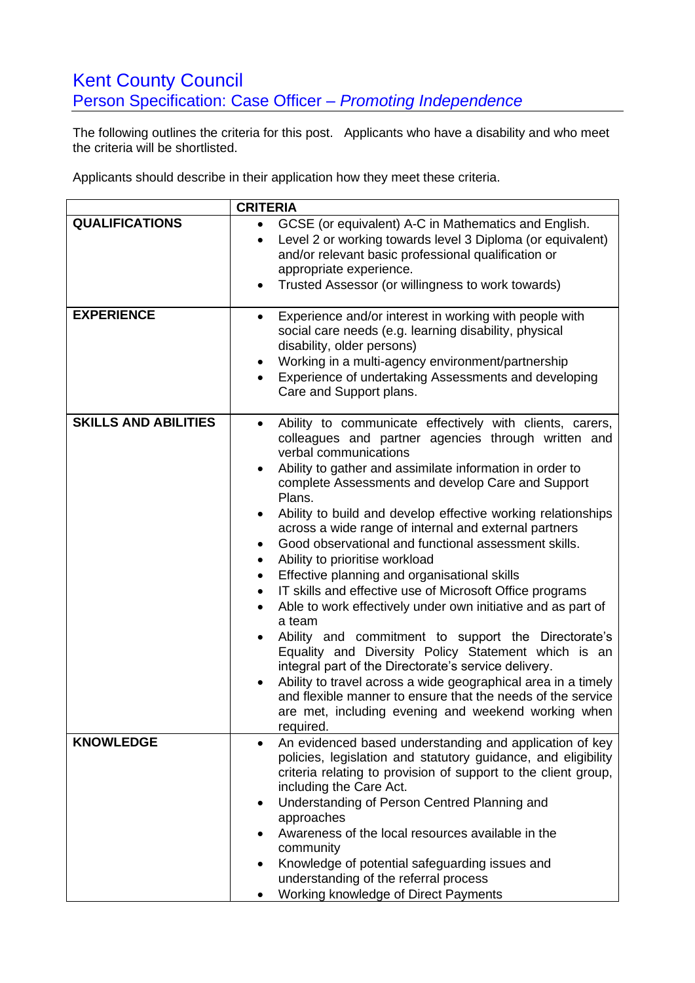## Kent County Council Person Specification: Case Officer *– Promoting Independence*

The following outlines the criteria for this post. Applicants who have a disability and who meet the criteria will be shortlisted.

Applicants should describe in their application how they meet these criteria.

|                             | <b>CRITERIA</b>                                                                                                                                                                                                                                                                                                                                                                                                                                                                                                                                                                                                                                                                                                                                                                                                                                                                                                                                                                                                                                                                                                         |
|-----------------------------|-------------------------------------------------------------------------------------------------------------------------------------------------------------------------------------------------------------------------------------------------------------------------------------------------------------------------------------------------------------------------------------------------------------------------------------------------------------------------------------------------------------------------------------------------------------------------------------------------------------------------------------------------------------------------------------------------------------------------------------------------------------------------------------------------------------------------------------------------------------------------------------------------------------------------------------------------------------------------------------------------------------------------------------------------------------------------------------------------------------------------|
| <b>QUALIFICATIONS</b>       | GCSE (or equivalent) A-C in Mathematics and English.<br>$\bullet$<br>Level 2 or working towards level 3 Diploma (or equivalent)<br>$\bullet$<br>and/or relevant basic professional qualification or<br>appropriate experience.<br>Trusted Assessor (or willingness to work towards)<br>٠                                                                                                                                                                                                                                                                                                                                                                                                                                                                                                                                                                                                                                                                                                                                                                                                                                |
| <b>EXPERIENCE</b>           | Experience and/or interest in working with people with<br>$\bullet$<br>social care needs (e.g. learning disability, physical<br>disability, older persons)<br>Working in a multi-agency environment/partnership<br>٠<br>Experience of undertaking Assessments and developing<br>Care and Support plans.                                                                                                                                                                                                                                                                                                                                                                                                                                                                                                                                                                                                                                                                                                                                                                                                                 |
| <b>SKILLS AND ABILITIES</b> | Ability to communicate effectively with clients, carers,<br>$\bullet$<br>colleagues and partner agencies through written and<br>verbal communications<br>Ability to gather and assimilate information in order to<br>complete Assessments and develop Care and Support<br>Plans.<br>Ability to build and develop effective working relationships<br>across a wide range of internal and external partners<br>Good observational and functional assessment skills.<br>$\bullet$<br>Ability to prioritise workload<br>$\bullet$<br>Effective planning and organisational skills<br>$\bullet$<br>IT skills and effective use of Microsoft Office programs<br>$\bullet$<br>Able to work effectively under own initiative and as part of<br>a team<br>Ability and commitment to support the Directorate's<br>Equality and Diversity Policy Statement which is an<br>integral part of the Directorate's service delivery.<br>Ability to travel across a wide geographical area in a timely<br>and flexible manner to ensure that the needs of the service<br>are met, including evening and weekend working when<br>required. |
| <b>KNOWLEDGE</b>            | An evidenced based understanding and application of key<br>$\bullet$<br>policies, legislation and statutory guidance, and eligibility<br>criteria relating to provision of support to the client group,<br>including the Care Act.<br>Understanding of Person Centred Planning and<br>$\bullet$<br>approaches<br>Awareness of the local resources available in the<br>community<br>Knowledge of potential safeguarding issues and<br>understanding of the referral process<br>Working knowledge of Direct Payments                                                                                                                                                                                                                                                                                                                                                                                                                                                                                                                                                                                                      |